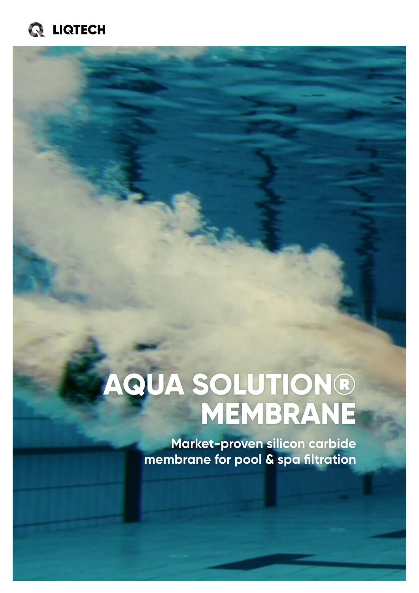

# **AQUA SOLUTION® MEMBRANE**

**Market-proven silicon carbide membrane for pool & spa filtration**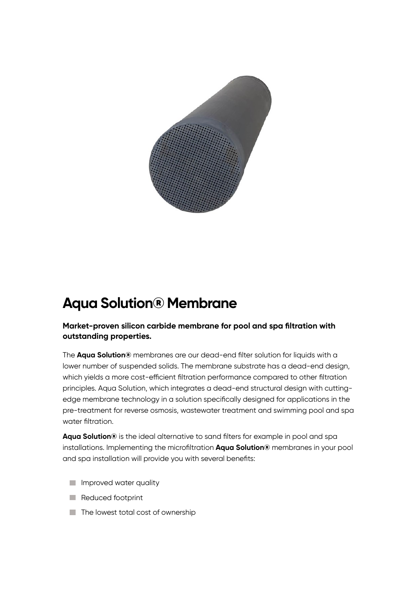

## **Aqua Solution® Membrane**

#### **Market-proven silicon carbide membrane for pool and spa filtration with outstanding properties.**

The **Aqua Solution®** membranes are our dead-end filter solution for liquids with a lower number of suspended solids. The membrane substrate has a dead-end design, which yields a more cost-efficient filtration performance compared to other filtration principles. Aqua Solution, which integrates a dead-end structural design with cuttingedge membrane technology in a solution specifically designed for applications in the pre-treatment for reverse osmosis, wastewater treatment and swimming pool and spa water filtration.

**Aqua Solution®** is the ideal alternative to sand filters for example in pool and spa installations. Implementing the microfiltration **Aqua Solution®** membranes in your pool and spa installation will provide you with several benefits:

- **Improved water quality**
- Reduced footprint
- $\blacksquare$  The lowest total cost of ownership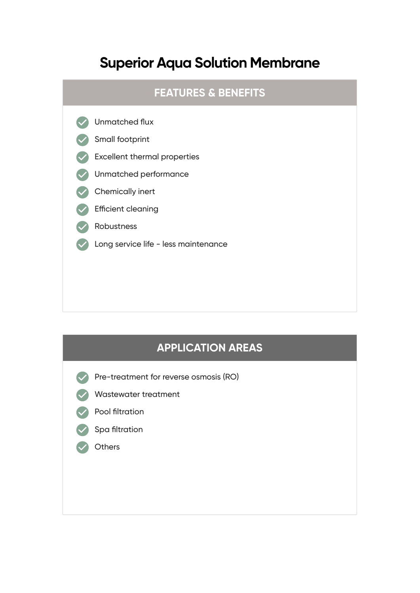### **Superior Aqua Solution Membrane**

#### **FEATURES & BENEFITS**



#### **APPLICATION AREAS**

- Pre-treatment for reverse osmosis (RO)
- Wastewater treatment
	- Pool filtration



**Others**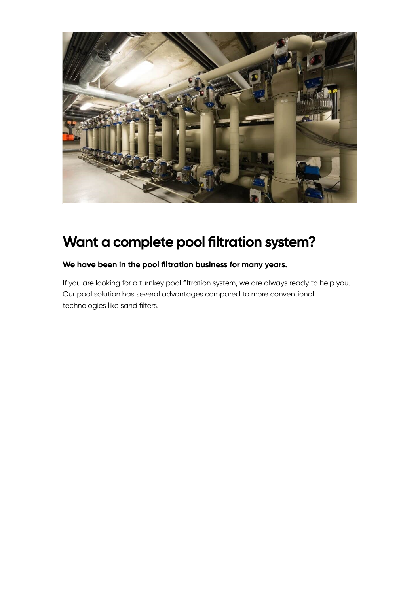

## **Want a complete pool filtration system?**

#### **We have been in the pool filtration business for many years.**

If you are looking for a turnkey pool filtration system, we are always ready to help you. Our pool solution has several advantages compared to more conventional technologies like sand filters.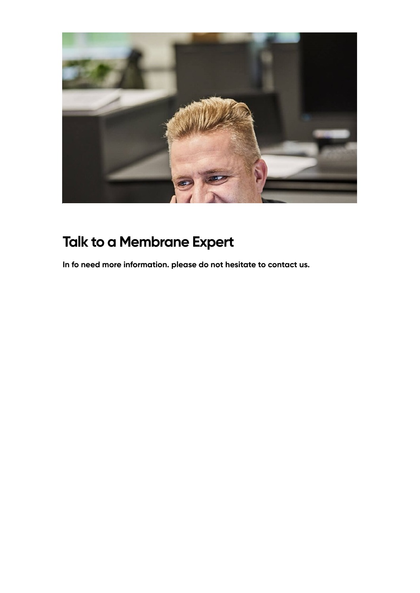

# **Talk to a Membrane Expert**

**In fo need more information. please do not hesitate to contact us.**